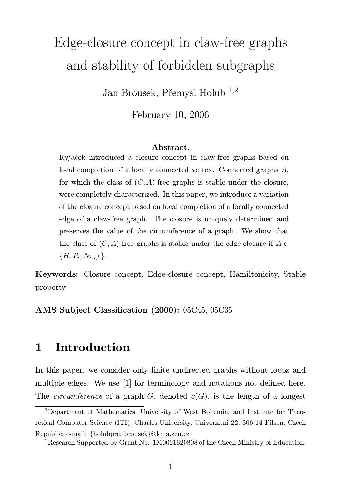# Edge-closure concept in claw-free graphs and stability of forbidden subgraphs

Jan Brousek, Přemysl Holub <sup>1</sup>,<sup>2</sup>

February 10, 2006

#### Abstract.

Ryjáček introduced a closure concept in claw-free graphs based on local completion of a locally connected vertex. Connected graphs A, for which the class of  $(C, A)$ -free graphs is stable under the closure, were completely characterized. In this paper, we introduce a variation of the closure concept based on local completion of a locally connected edge of a claw-free graph. The closure is uniquely determined and preserves the value of the circumference of a graph. We show that the class of  $(C, A)$ -free graphs is stable under the edge-closure if  $A \in$  ${H, P_i, N_{i,j,k}}.$ 

Keywords: Closure concept, Edge-closure concept, Hamiltonicity, Stable property

AMS Subject Classification (2000): 05C45, 05C35

## 1 Introduction

In this paper, we consider only finite undirected graphs without loops and multiple edges. We use [1] for terminology and notations not defined here. The *circumference* of a graph G, denoted  $c(G)$ , is the length of a longest

<sup>1</sup>Department of Mathematics, University of West Bohemia, and Institute for Theoretical Computer Science (ITI), Charles University, Univerzitni 22, 306 14 Pilsen, Czech Republic, e-mail: {holubpre, brousek}@kma.zcu.cz

<sup>2</sup>Research Supported by Grant No. 1M0021620808 of the Czech Ministry of Education.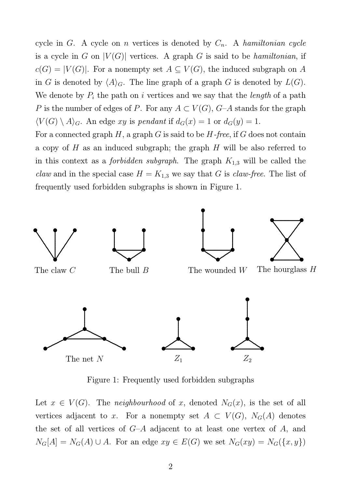cycle in G. A cycle on n vertices is denoted by  $C_n$ . A hamiltonian cycle is a cycle in G on  $|V(G)|$  vertices. A graph G is said to be *hamiltonian*, if  $c(G) = |V(G)|$ . For a nonempty set  $A \subseteq V(G)$ , the induced subgraph on A in G is denoted by  $\langle A \rangle_G$ . The line graph of a graph G is denoted by  $L(G)$ . We denote by  $P_i$  the path on i vertices and we say that the *length* of a path P is the number of edges of P. For any  $A \subset V(G)$ , G-A stands for the graph  $\langle V(G) \setminus A \rangle_G$ . An edge xy is pendant if  $d_G(x) = 1$  or  $d_G(y) = 1$ .

For a connected graph  $H$ , a graph  $G$  is said to be  $H$ -free, if  $G$  does not contain a copy of  $H$  as an induced subgraph; the graph  $H$  will be also referred to in this context as a *forbidden subgraph*. The graph  $K_{1,3}$  will be called the *claw* and in the special case  $H = K_{1,3}$  we say that G is *claw-free*. The list of frequently used forbidden subgraphs is shown in Figure 1.



Figure 1: Frequently used forbidden subgraphs

Let  $x \in V(G)$ . The neighbourhood of x, denoted  $N_G(x)$ , is the set of all vertices adjacent to x. For a nonempty set  $A \subset V(G)$ ,  $N_G(A)$  denotes the set of all vertices of  $G-A$  adjacent to at least one vertex of A, and  $N_G[A] = N_G(A) \cup A$ . For an edge  $xy \in E(G)$  we set  $N_G(xy) = N_G(\lbrace x, y \rbrace)$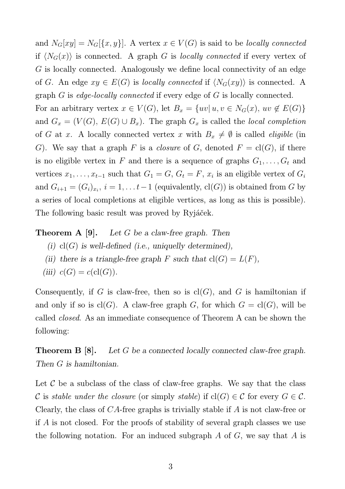and  $N_G[xy] = N_G[\{x, y\}].$  A vertex  $x \in V(G)$  is said to be *locally connected* if  $\langle N_G(x) \rangle$  is connected. A graph G is locally connected if every vertex of G is locally connected. Analogously we define local connectivity of an edge of G. An edge  $xy \in E(G)$  is locally connected if  $\langle N_G(xy) \rangle$  is connected. A graph G is edge-locally connected if every edge of G is locally connected.

For an arbitrary vertex  $x \in V(G)$ , let  $B_x = \{uv | u, v \in N_G(x), uv \notin E(G)\}\$ and  $G_x = (V(G), E(G) \cup B_x)$ . The graph  $G_x$  is called the *local completion* of G at x. A locally connected vertex x with  $B_x \neq \emptyset$  is called *eligible* (in G). We say that a graph F is a *closure* of G, denoted  $F = cl(G)$ , if there is no eligible vertex in F and there is a sequence of graphs  $G_1, \ldots, G_t$  and vertices  $x_1, \ldots, x_{t-1}$  such that  $G_1 = G, G_t = F, x_i$  is an eligible vertex of  $G_i$ and  $G_{i+1} = (G_i)_{x_i}, i = 1, \ldots t-1$  (equivalently,  $cl(G)$ ) is obtained from G by a series of local completions at eligible vertices, as long as this is possible). The following basic result was proved by Ryjáček.

**Theorem A [9].** Let G be a claw-free graph. Then

- (i)  $cl(G)$  is well-defined (i.e., uniquelly determined),
- (ii) there is a triangle-free graph F such that  $cl(G) = L(F)$ ,

(iii) 
$$
c(G) = c(\text{cl}(G))
$$
.

Consequently, if G is claw-free, then so is  $cl(G)$ , and G is hamiltonian if and only if so is  $cl(G)$ . A claw-free graph G, for which  $G = cl(G)$ , will be called closed. As an immediate consequence of Theorem A can be shown the following:

**Theorem B [8].** Let G be a connected locally connected claw-free graph. Then G is hamiltonian.

Let  $\mathcal C$  be a subclass of the class of claw-free graphs. We say that the class C is stable under the closure (or simply stable) if  $cl(G) \in C$  for every  $G \in C$ . Clearly, the class of CA-free graphs is trivially stable if A is not claw-free or if A is not closed. For the proofs of stability of several graph classes we use the following notation. For an induced subgraph  $A$  of  $G$ , we say that  $A$  is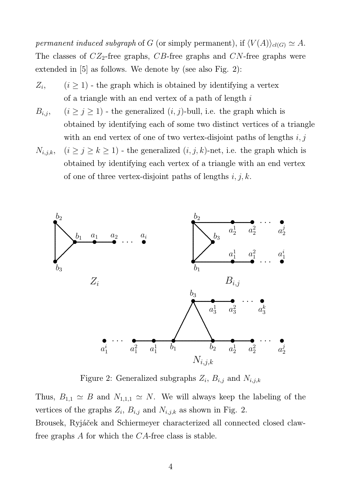permanent induced subgraph of G (or simply permanent), if  $\langle V(A) \rangle_{cl(G)} \simeq A$ . The classes of  $CZ_2$ -free graphs, CB-free graphs and CN-free graphs were extended in [5] as follows. We denote by (see also Fig. 2):

- $Z_i$  $(i \geq 1)$  - the graph which is obtained by identifying a vertex of a triangle with an end vertex of a path of length  $i$
- $B_{i,j}, \quad (i \geq j \geq 1)$  the generalized  $(i, j)$ -bull, i.e. the graph which is obtained by identifying each of some two distinct vertices of a triangle with an end vertex of one of two vertex-disjoint paths of lengths  $i, j$
- $N_{i,j,k}, (i \geq j \geq k \geq 1)$  the generalized  $(i, j, k)$ -net, i.e. the graph which is obtained by identifying each vertex of a triangle with an end vertex of one of three vertex-disjoint paths of lengths  $i, j, k$ .



Figure 2: Generalized subgraphs  $Z_i$ ,  $B_{i,j}$  and  $N_{i,j,k}$ 

Thus,  $B_{1,1} \simeq B$  and  $N_{1,1,1} \simeq N$ . We will always keep the labeling of the vertices of the graphs  $Z_i$ ,  $B_{i,j}$  and  $N_{i,j,k}$  as shown in Fig. 2. Brousek, Ryjáček and Schiermeyer characterized all connected closed claw-

free graphs A for which the CA-free class is stable.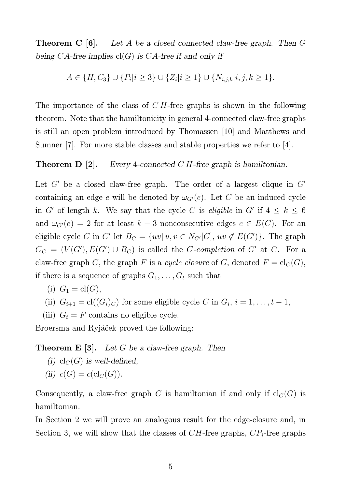**Theorem C** [6]. Let A be a closed connected claw-free graph. Then G being CA-free implies  $cl(G)$  is CA-free if and only if

 $A \in \{H, C_3\} \cup \{P_i | i \geq 3\} \cup \{Z_i | i \geq 1\} \cup \{N_{i,j,k} | i,j,k \geq 1\}.$ 

The importance of the class of C H-free graphs is shown in the following theorem. Note that the hamiltonicity in general 4-connected claw-free graphs is still an open problem introduced by Thomassen [10] and Matthews and Sumner [7]. For more stable classes and stable properties we refer to [4].

**Theorem D** [2]. Every 4-connected C H-free graph is hamiltonian.

Let  $G'$  be a closed claw-free graph. The order of a largest clique in  $G'$ containing an edge e will be denoted by  $\omega_{G'}(e)$ . Let C be an induced cycle in G' of length k. We say that the cycle C is *eligible* in G' if  $4 \leq k \leq 6$ and  $\omega_{G'}(e) = 2$  for at least  $k - 3$  nonconsecutive edges  $e \in E(C)$ . For an eligible cycle C in G' let  $B_C = \{uv | u, v \in N_{G'}[C], uv \notin E(G')\}$ . The graph  $G_C = (V(G'), E(G') \cup B_C)$  is called the C-completion of G' at C. For a claw-free graph G, the graph F is a cycle closure of G, denoted  $F = \text{cl}_C(G)$ , if there is a sequence of graphs  $G_1, \ldots, G_t$  such that

$$
(i) G1 = cl(G),
$$

(ii) 
$$
G_{i+1} = \text{cl}((G_i)_C)
$$
 for some eligible cycle C in  $G_i$ ,  $i = 1, ..., t-1$ ,

(iii)  $G_t = F$  contains no eligible cycle.

Broersma and Ryjáček proved the following:

### **Theorem E** [3]. Let G be a claw-free graph. Then

- (i)  $\text{cl}_C(G)$  is well-defined,
- (ii)  $c(G) = c(\text{cl}_C(G)).$

Consequently, a claw-free graph G is hamiltonian if and only if  $cl_C(G)$  is hamiltonian.

In Section 2 we will prove an analogous result for the edge-closure and, in Section 3, we will show that the classes of  $CH$ -free graphs,  $CP_i$ -free graphs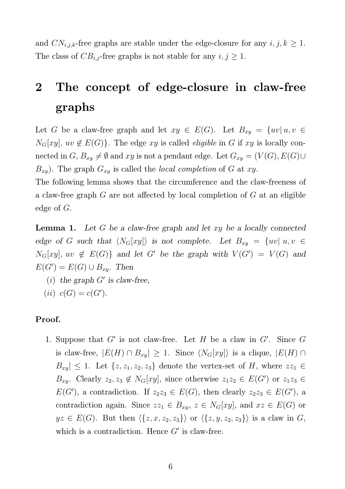and  $CN_{i,j,k}$ -free graphs are stable under the edge-closure for any  $i, j, k \geq 1$ . The class of  $CB_{i,j}$ -free graphs is not stable for any  $i, j \geq 1$ .

## 2 The concept of edge-closure in claw-free graphs

Let G be a claw-free graph and let  $xy \in E(G)$ . Let  $B_{xy} = \{uv | u, v \in E(G)\}$  $N_G[xy]$ ,  $uv \notin E(G)$ . The edge xy is called *eligible* in G if xy is locally connected in  $G, B_{xy} \neq \emptyset$  and  $xy$  is not a pendant edge. Let  $G_{xy} = (V(G), E(G) \cup$  $B_{xy}$ ). The graph  $G_{xy}$  is called the *local completion* of G at xy.

The following lemma shows that the circumference and the claw-freeness of a claw-free graph G are not affected by local completion of G at an eligible edge of G.

**Lemma 1.** Let G be a claw-free graph and let  $xy$  be a locally connected edge of G such that  $\langle N_G[xy] \rangle$  is not complete. Let  $B_{xy} = \{uv | u, v \in$  $N_G[xy]$ ,  $uv \notin E(G)$  and let G' be the graph with  $V(G') = V(G)$  and  $E(G') = E(G) \cup B_{xy}$ . Then

- $(i)$  the graph  $G'$  is claw-free,
- (*ii*)  $c(G) = c(G')$ .

### Proof.

1. Suppose that  $G'$  is not claw-free. Let  $H$  be a claw in  $G'$ . Since  $G$ is claw-free,  $|E(H) \cap B_{xy}| \ge 1$ . Since  $\langle N_G[xy] \rangle$  is a clique,  $|E(H) \cap B_{xy}|$  $B_{xy} \leq 1$ . Let  $\{z, z_1, z_2, z_3\}$  denote the vertex-set of H, where  $zz_1 \in$  $B_{xy}$ . Clearly  $z_2, z_3 \notin N_G[xy]$ , since otherwise  $z_1z_2 \in E(G')$  or  $z_1z_3 \in$  $E(G')$ , a contradiction. If  $z_2z_3 \in E(G)$ , then clearly  $z_2z_3 \in E(G')$ , a contradiction again. Since  $zz_1 \in B_{xy}$ ,  $z \in N_G[xy]$ , and  $xz \in E(G)$  or  $yz \in E(G)$ . But then  $\langle \{z, x, z_2, z_3\} \rangle$  or  $\langle \{z, y, z_2, z_3\} \rangle$  is a claw in G, which is a contradiction. Hence  $G'$  is claw-free.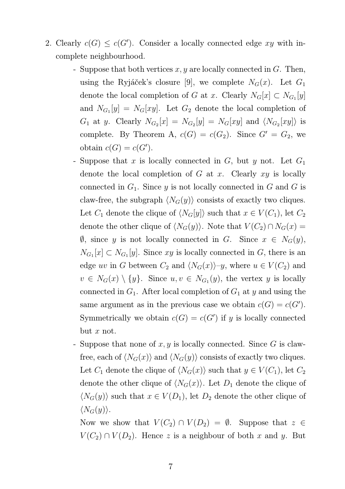- 2. Clearly  $c(G) \leq c(G')$ . Consider a locally connected edge xy with incomplete neighbourhood.
	- Suppose that both vertices  $x, y$  are locally connected in  $G$ . Then, using the Ryjáček's closure [9], we complete  $N_G(x)$ . Let  $G_1$ denote the local completion of G at x. Clearly  $N_G[x] \subset N_{G_1}[y]$ and  $N_{G_1}[y] = N_G[xy]$ . Let  $G_2$  denote the local completion of  $G_1$  at y. Clearly  $N_{G_2}[x] = N_{G_2}[y] = N_G[xy]$  and  $\langle N_{G_2}[xy] \rangle$  is complete. By Theorem A,  $c(G) = c(G_2)$ . Since  $G' = G_2$ , we obtain  $c(G) = c(G')$ .
	- Suppose that x is locally connected in  $G$ , but y not. Let  $G_1$ denote the local completion of  $G$  at  $x$ . Clearly  $xy$  is locally connected in  $G_1$ . Since y is not locally connected in G and G is claw-free, the subgraph  $\langle N_G(y) \rangle$  consists of exactly two cliques. Let  $C_1$  denote the clique of  $\langle N_G[y] \rangle$  such that  $x \in V(C_1)$ , let  $C_2$ denote the other clique of  $\langle N_G(y) \rangle$ . Note that  $V(C_2) \cap N_G(x) =$  $\emptyset$ , since y is not locally connected in G. Since  $x \in N_G(y)$ ,  $N_{G_1}[x] \subset N_{G_1}[y]$ . Since xy is locally connected in G, there is an edge uv in G between  $C_2$  and  $\langle N_G(x)\rangle$ –y, where  $u \in V(C_2)$  and  $v \in N_G(x) \setminus \{y\}.$  Since  $u, v \in N_{G_1}(y)$ , the vertex y is locally connected in  $G_1$ . After local completion of  $G_1$  at y and using the same argument as in the previous case we obtain  $c(G) = c(G')$ . Symmetrically we obtain  $c(G) = c(G')$  if y is locally connected but  $x$  not.
	- Suppose that none of  $x, y$  is locally connected. Since G is clawfree, each of  $\langle N_G(x) \rangle$  and  $\langle N_G(y) \rangle$  consists of exactly two cliques. Let  $C_1$  denote the clique of  $\langle N_G(x) \rangle$  such that  $y \in V(C_1)$ , let  $C_2$ denote the other clique of  $\langle N_G(x) \rangle$ . Let  $D_1$  denote the clique of  $\langle N_G(y) \rangle$  such that  $x \in V(D_1)$ , let  $D_2$  denote the other clique of  $\langle N_G(y)\rangle$ .

Now we show that  $V(C_2) \cap V(D_2) = \emptyset$ . Suppose that  $z \in$  $V(C_2) \cap V(D_2)$ . Hence z is a neighbour of both x and y. But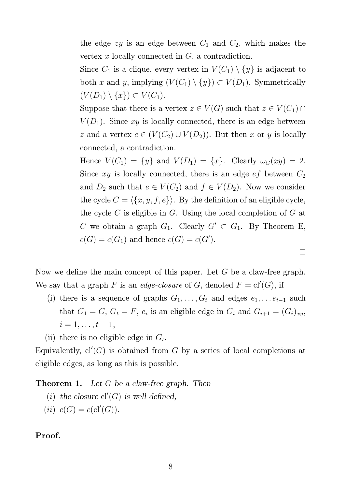the edge  $zy$  is an edge between  $C_1$  and  $C_2$ , which makes the vertex  $x$  locally connected in  $G$ , a contradiction.

Since  $C_1$  is a clique, every vertex in  $V(C_1) \setminus \{y\}$  is adjacent to both x and y, implying  $(V(C_1) \setminus \{y\}) \subset V(D_1)$ . Symmetrically  $(V(D_1) \setminus \{x\}) \subset V(C_1).$ 

Suppose that there is a vertex  $z \in V(G)$  such that  $z \in V(C_1) \cap V(G)$  $V(D_1)$ . Since xy is locally connected, there is an edge between z and a vertex  $c \in (V(C_2) \cup V(D_2))$ . But then x or y is locally connected, a contradiction.

Hence  $V(C_1) = \{y\}$  and  $V(D_1) = \{x\}$ . Clearly  $\omega_G(xy) = 2$ . Since xy is locally connected, there is an edge  $ef$  between  $C_2$ and  $D_2$  such that  $e \in V(C_2)$  and  $f \in V(D_2)$ . Now we consider the cycle  $C = \langle \{x, y, f, e\} \rangle$ . By the definition of an eligible cycle, the cycle  $C$  is eligible in  $G$ . Using the local completion of  $G$  at C we obtain a graph  $G_1$ . Clearly  $G' \subset G_1$ . By Theorem E,  $c(G) = c(G_1)$  and hence  $c(G) = c(G')$ .

 $\Box$ 

Now we define the main concept of this paper. Let  $G$  be a claw-free graph. We say that a graph F is an *edge-closure* of G, denoted  $F = cl'(G)$ , if

- (i) there is a sequence of graphs  $G_1, \ldots, G_t$  and edges  $e_1, \ldots e_{t-1}$  such that  $G_1 = G, G_t = F, e_i$  is an eligible edge in  $G_i$  and  $G_{i+1} = (G_i)_{xy}$ ,  $i = 1, \ldots, t - 1,$
- (ii) there is no eligible edge in  $G_t$ .

Equivalently,  $cl'(G)$  is obtained from G by a series of local completions at eligible edges, as long as this is possible.

**Theorem 1.** Let G be a claw-free graph. Then

- (i) the closure  $cl'(G)$  is well defined,
- (*ii*)  $c(G) = c(cl'(G)).$

### Proof.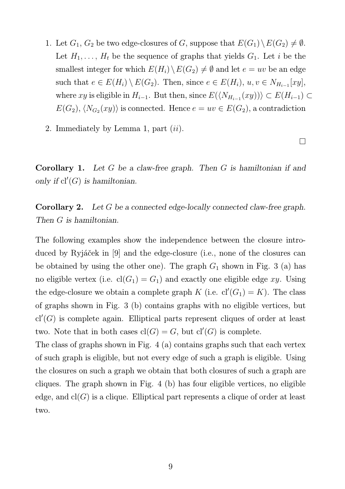- 1. Let  $G_1, G_2$  be two edge-closures of G, suppose that  $E(G_1) \setminus E(G_2) \neq \emptyset$ . Let  $H_1, \ldots, H_t$  be the sequence of graphs that yields  $G_1$ . Let i be the smallest integer for which  $E(H_i)\setminus E(G_2) \neq \emptyset$  and let  $e = uv$  be an edge such that  $e \in E(H_i) \setminus E(G_2)$ . Then, since  $e \in E(H_i)$ ,  $u, v \in N_{H_{i-1}}[xy]$ , where  $xy$  is eligible in  $H_{i-1}$ . But then, since  $E(\langle N_{H_{i-1}}(xy) \rangle) \subset E(H_{i-1}) \subset$  $E(G_2), \langle N_{G_2}(xy) \rangle$  is connected. Hence  $e = uv \in E(G_2)$ , a contradiction
- 2. Immediately by Lemma 1, part  $(ii)$ .

**Corollary 1.** Let G be a claw-free graph. Then G is hamiltonian if and only if  $cl'(G)$  is hamiltonian.

Corollary 2. Let G be a connected edge-locally connected claw-free graph. Then G is hamiltonian.

The following examples show the independence between the closure introduced by Ryjáček in [9] and the edge-closure (i.e., none of the closures can be obtained by using the other one). The graph  $G_1$  shown in Fig. 3 (a) has no eligible vertex (i.e.  $cl(G_1) = G_1$ ) and exactly one eligible edge xy. Using the edge-closure we obtain a complete graph K (i.e.  $cl'(G_1) = K$ ). The class of graphs shown in Fig. 3 (b) contains graphs with no eligible vertices, but  $cl'(G)$  is complete again. Elliptical parts represent cliques of order at least two. Note that in both cases  $\text{cl}(G) = G$ , but  $\text{cl}'(G)$  is complete.

The class of graphs shown in Fig. 4 (a) contains graphs such that each vertex of such graph is eligible, but not every edge of such a graph is eligible. Using the closures on such a graph we obtain that both closures of such a graph are cliques. The graph shown in Fig. 4 (b) has four eligible vertices, no eligible edge, and  $cl(G)$  is a clique. Elliptical part represents a clique of order at least two.

 $\Box$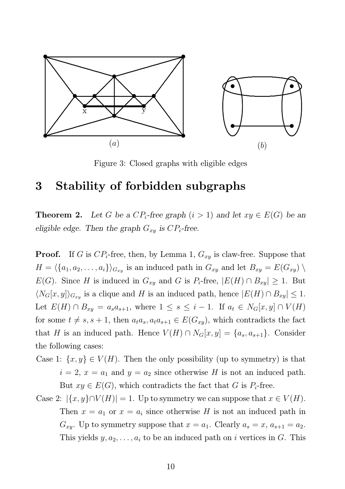

Figure 3: Closed graphs with eligible edges

## 3 Stability of forbidden subgraphs

**Theorem 2.** Let G be a  $CP_i$ -free graph  $(i > 1)$  and let  $xy \in E(G)$  be an eligible edge. Then the graph  $G_{xy}$  is  $CP_i$ -free.

**Proof.** If G is  $CP_i$ -free, then, by Lemma 1,  $G_{xy}$  is claw-free. Suppose that  $H = \langle \{a_1, a_2, \ldots, a_i\} \rangle_{G_{xy}}$  is an induced path in  $G_{xy}$  and let  $B_{xy} = E(G_{xy}) \setminus$  $E(G)$ . Since H is induced in  $G_{xy}$  and G is  $P_i$ -free,  $|E(H) \cap B_{xy}| \geq 1$ . But  $\langle N_G[x, y] \rangle_{G_{xy}}$  is a clique and H is an induced path, hence  $|E(H) \cap B_{xy}| \leq 1$ . Let  $E(H) \cap B_{xy} = a_s a_{s+1}$ , where  $1 \leq s \leq i-1$ . If  $a_t \in N_G[x, y] \cap V(H)$ for some  $t \neq s, s + 1$ , then  $a_t a_s, a_t a_{s+1} \in E(G_{xy})$ , which contradicts the fact that H is an induced path. Hence  $V(H) \cap N_G[x, y] = \{a_s, a_{s+1}\}.$  Consider the following cases:

- Case 1:  $\{x, y\} \in V(H)$ . Then the only possibility (up to symmetry) is that  $i = 2, x = a_1$  and  $y = a_2$  since otherwise H is not an induced path. But  $xy \in E(G)$ , which contradicts the fact that G is  $P_i$ -free.
- Case 2:  $|\{x, y\} \cap V(H)| = 1$ . Up to symmetry we can suppose that  $x \in V(H)$ . Then  $x = a_1$  or  $x = a_i$  since otherwise H is not an induced path in  $G_{xy}$ . Up to symmetry suppose that  $x = a_1$ . Clearly  $a_s = x, a_{s+1} = a_2$ . This yields  $y, a_2, \ldots, a_i$  to be an induced path on i vertices in G. This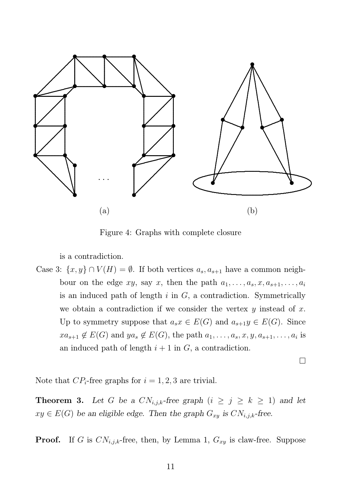

Figure 4: Graphs with complete closure

is a contradiction.

Case 3:  $\{x, y\} \cap V(H) = \emptyset$ . If both vertices  $a_s, a_{s+1}$  have a common neighbour on the edge  $xy$ , say x, then the path  $a_1, \ldots, a_s, x, a_{s+1}, \ldots, a_i$ is an induced path of length  $i$  in  $G$ , a contradiction. Symmetrically we obtain a contradiction if we consider the vertex  $y$  instead of  $x$ . Up to symmetry suppose that  $a_s x \in E(G)$  and  $a_{s+1} y \in E(G)$ . Since  $xa_{s+1} \notin E(G)$  and  $ya_s \notin E(G)$ , the path  $a_1, \ldots, a_s, x, y, a_{s+1}, \ldots, a_i$  is an induced path of length  $i + 1$  in  $G$ , a contradiction.

 $\Box$ 

Note that  $CP_i$ -free graphs for  $i = 1, 2, 3$  are trivial.

**Theorem 3.** Let G be a  $CN_{i,j,k}$ -free graph  $(i \geq j \geq k \geq 1)$  and let  $xy \in E(G)$  be an eligible edge. Then the graph  $G_{xy}$  is  $CN_{i,j,k}$ -free.

**Proof.** If G is  $CN_{i,j,k}$ -free, then, by Lemma 1,  $G_{xy}$  is claw-free. Suppose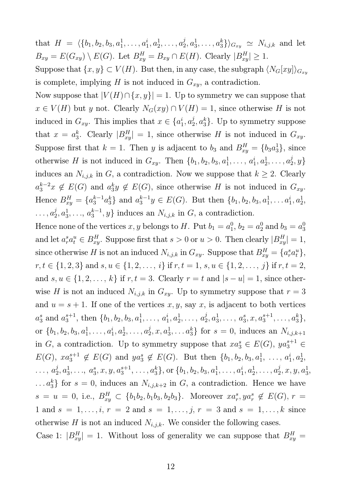that  $H = \langle \{b_1, b_2, b_3, a_1^1, \ldots, a_1^i, a_2^1, \ldots, a_2^i \}$  $\langle a_2^j, a_3^1, \ldots, a_3^k \rangle \rangle_{G_{xy}} \simeq N_{i,j,k}$  and let  $B_{xy} = E(G_{xy}) \setminus E(G)$ . Let  $B_{xy}^H = B_{xy} \cap E(H)$ . Clearly  $|B_{xy}^H| \ge 1$ .

Suppose that  $\{x, y\} \subset V(H)$ . But then, in any case, the subgraph  $\langle N_G[xy] \rangle_{G_{xy}}$ is complete, implying H is not induced in  $G_{xy}$ , a contradiction.

Now suppose that  $|V(H) \cap \{x, y\}| = 1$ . Up to symmetry we can suppose that  $x \in V(H)$  but y not. Clearly  $N_G(xy) \cap V(H) = 1$ , since otherwise H is not induced in  $G_{xy}$ . This implies that  $x \in \{a_1^i\}$  $i_1, a_2^j$  $\{a_2^j, a_3^k\}$ . Up to symmetry suppose that  $x = a_3^k$ <sup>k</sup><sub>3</sub>. Clearly  $|B_{xy}^H| = 1$ , since otherwise H is not induced in  $G_{xy}$ . Suppose first that  $k = 1$ . Then y is adjacent to  $b_3$  and  $B_{xy}^H = \{b_3 a_3^1\}$ , since otherwise H is not induced in  $G_{xy}$ . Then  $\{b_1, b_2, b_3, a_1^1, \ldots, a_1^i, a_2^1, \ldots, a_2^j\}$  $\{2^j,y\}$ induces an  $N_{i,j,k}$  in G, a contradiction. Now we suppose that  $k \geq 2$ . Clearly  $a_3^{k-2}x \notin E(G)$  and  $a_3^k$  $_{3}^{k}y \notin E(G)$ , since otherwise H is not induced in  $G_{xy}$ . Hence  $B_{xy}^H = \{a_3^{k-1}a_3^k\}$  and  $a_3^{k-1}y \in E(G)$ . But then  $\{b_1, b_2, b_3, a_1^1, \ldots a_1^i, a_2^1, \ldots, a_n^i\}$  $\dots, a_2^j$  $a_2^j, a_3^1, \ldots, a_3^{k-1}$  $\{3^{k-1}, y\}$  induces an  $N_{i,j,k}$  in  $G$ , a contradiction.

Hence none of the vertices  $x, y$  belongs to H. Put  $b_1 = a_1^0$  $a_1^0, b_2 = a_2^0 \text{ and } b_3 = a_3^0$ 3 and let  $a_r^s a_t^u \in B_{xy}^H$ . Suppose first that  $s > 0$  or  $u > 0$ . Then clearly  $|B_{xy}^H| = 1$ , since otherwise H is not an induced  $N_{i,j,k}$  in  $G_{xy}$ . Suppose that  $B_{xy}^H = \{a_i^s a_t^u\},\$  $r, t \in \{1, 2, 3\}$  and  $s, u \in \{1, 2, \ldots, i\}$  if  $r, t = 1, s, u \in \{1, 2, \ldots, j\}$  if  $r, t = 2$ , and  $s, u \in \{1, 2, \ldots, k\}$  if  $r, t = 3$ . Clearly  $r = t$  and  $|s - u| = 1$ , since otherwise H is not an induced  $N_{i,j,k}$  in  $G_{xy}$ . Up to symmetry suppose that  $r=3$ and  $u = s + 1$ . If one of the vertices x, y, say x, is adjacent to both vertices  $a_3^s$  $_3^s$  and  $a_3^{s+1}$  $s_3^{s+1}$ , then  $\{b_1, b_2, b_3, a_1^1, \ldots, a_1^i, a_2^1, \ldots, a_2^i\}$  $a_2^j, a_3^1, \ldots, a_3^s, x, a_3^{s+1}, \ldots, a_3^k\},$ or  $\{b_1, b_2, b_3, a_1^1, \ldots, a_1^i, a_2^1, \ldots, a_2^i\}$  $a_2^j, x, a_3^1, \ldots a_3^k$  for  $s = 0$ , induces an  $N_{i,j,k+1}$ in G, a contradiction. Up to symmetry suppose that  $xa_3^s \in E(G)$ ,  $ya_3^{s+1} \in$  $E(G)$ ,  $xa_3^{s+1} \notin E(G)$  and  $ya_3^s \notin E(G)$ . But then  $\{b_1, b_2, b_3, a_1^1, \ldots, a_1^i, a_2^1, \ldots, a_n^i\}$  $\ldots, a_2^j$  $a_2^j, a_3^1, \ldots, a_3^s$  $\{s_3, x, y, a_3^{s+1}, \ldots, a_3^{k}\}, \text{or } \{b_1, b_2, b_3, a_1^{1}, \ldots, a_1^{i}, a_2^{1}, \ldots, a_2^{j}\}$  $a_2^j, x, y, a_3^1,$ ... $a_3^k$  for  $s = 0$ , induces an  $N_{i,j,k+2}$  in G, a contradiction. Hence we have  $s = u = 0$ , i.e.,  $B_{xy}^H \subset \{b_1b_2, b_1b_3, b_2b_3\}$ . Moreover  $xa_r^s, ya_r^s \notin E(G)$ ,  $r =$ 1 and  $s = 1, ..., i, r = 2$  and  $s = 1, ..., j, r = 3$  and  $s = 1, ..., k$  since otherwise H is not an induced  $N_{i,j,k}$ . We consider the following cases.

Case 1:  $|B_{xy}^H| = 1$ . Without loss of generality we can suppose that  $B_{xy}^H =$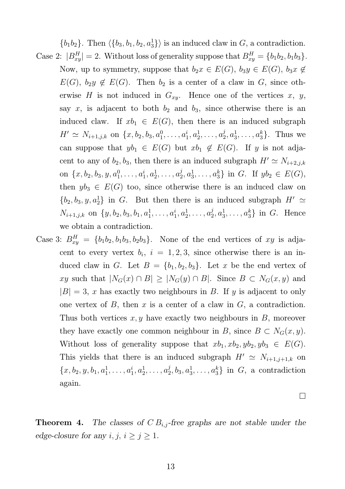$\{b_1b_2\}$ . Then  $\langle \{b_3, b_1, b_2, a_3\} \rangle$  is an induced claw in G, a contradiction. Case 2:  $|B_{xy}^H| = 2$ . Without loss of generality suppose that  $B_{xy}^H = \{b_1b_2, b_1b_3\}$ . Now, up to symmetry, suppose that  $b_2x \in E(G)$ ,  $b_3y \in E(G)$ ,  $b_3x \notin$  $E(G)$ ,  $b_2y \notin E(G)$ . Then  $b_2$  is a center of a claw in G, since otherwise H is not induced in  $G_{xy}$ . Hence one of the vertices x, y, say x, is adjacent to both  $b_2$  and  $b_3$ , since otherwise there is an induced claw. If  $xb_1 \in E(G)$ , then there is an induced subgraph  $H' \simeq N_{i+1,j,k}$  on  $\{x, b_2, b_3, a_1^0, \ldots, a_1^i, a_2^1, \ldots, a_2^j\}$  $a_2^j, a_3^1, \ldots, a_3^k$ . Thus we can suppose that  $yb_1 \in E(G)$  but  $xb_1 \notin E(G)$ . If y is not adjacent to any of  $b_2$ ,  $b_3$ , then there is an induced subgraph  $H' \simeq N_{i+2,j,k}$ on  $\{x, b_2, b_3, y, a_1^0, \ldots, a_1^i, a_2^1, \ldots, a_2^i\}$  $a_2^j, a_3^1, \ldots, a_3^k$  in G. If  $yb_2 \in E(G)$ , then  $yb_3 \in E(G)$  too, since otherwise there is an induced claw on  $\{b_2, b_3, y, a_2^1\}$  in G. But then there is an induced subgraph  $H' \simeq$  $N_{i+1,j,k}$  on  $\{y, b_2, b_3, b_1, a_1^1, \ldots, a_1^i, a_2^1, \ldots, a_2^j\}$  $a_2^j, a_3^1, \ldots, a_3^k$  in G. Hence we obtain a contradiction.

Case 3:  $B_{xy}^H = \{b_1b_2, b_1b_3, b_2b_3\}$ . None of the end vertices of xy is adjacent to every vertex  $b_i$ ,  $i = 1, 2, 3$ , since otherwise there is an induced claw in G. Let  $B = \{b_1, b_2, b_3\}$ . Let x be the end vertex of xy such that  $|N_G(x) \cap B| \geq |N_G(y) \cap B|$ . Since  $B \subset N_G(x, y)$  and  $|B| = 3$ , x has exactly two neighbours in B. If y is adjacent to only one vertex of  $B$ , then  $x$  is a center of a claw in  $G$ , a contradiction. Thus both vertices  $x, y$  have exactly two neighbours in  $B$ , moreover they have exactly one common neighbour in B, since  $B \subset N_G(x, y)$ . Without loss of generality suppose that  $xb_1, xb_2, yb_2, yb_3 \in E(G)$ . This yields that there is an induced subgraph  $H' \simeq N_{i+1,j+1,k}$  on  $\{x, b_2, y, b_1, a_1^1, \ldots, a_1^i, a_2^1, \ldots, a_2^i\}$  $\{a_2, b_3, a_3^1, \ldots, a_3^k\}$  in  $G$ , a contradiction again.

 $\Box$ 

**Theorem 4.** The classes of  $CB_{i,j}$ -free graphs are not stable under the edge-closure for any  $i, j, i \geq j \geq 1$ .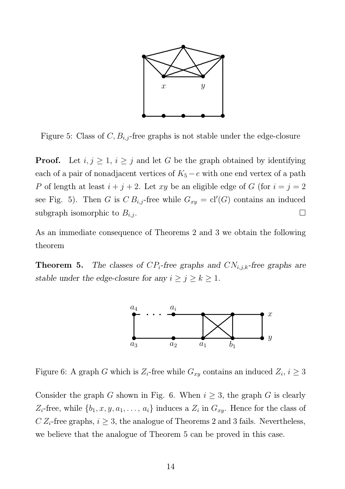

Figure 5: Class of  $C, B_{i,j}$ -free graphs is not stable under the edge-closure

**Proof.** Let  $i, j \geq 1$ ,  $i \geq j$  and let G be the graph obtained by identifying each of a pair of nonadjacent vertices of  $K_5 - e$  with one end vertex of a path P of length at least  $i + j + 2$ . Let xy be an eligible edge of G (for  $i = j = 2$ ) see Fig. 5). Then G is  $CB_{i,j}$ -free while  $G_{xy} = \text{cl}'(G)$  contains an induced subgraph isomorphic to  $B_{i,j}$ .

As an immediate consequence of Theorems 2 and 3 we obtain the following theorem

**Theorem 5.** The classes of  $CP_i$ -free graphs and  $CN_{i,j,k}$ -free graphs are stable under the edge-closure for any  $i \ge j \ge k \ge 1$ .



Figure 6: A graph G which is  $Z_i$ -free while  $G_{xy}$  contains an induced  $Z_i$ ,  $i \geq 3$ 

Consider the graph G shown in Fig. 6. When  $i \geq 3$ , the graph G is clearly  $Z_i$ -free, while  $\{b_1, x, y, a_1, \ldots, a_i\}$  induces a  $Z_i$  in  $G_{xy}$ . Hence for the class of  $C Z_i$ -free graphs,  $i \geq 3$ , the analogue of Theorems 2 and 3 fails. Nevertheless, we believe that the analogue of Theorem 5 can be proved in this case.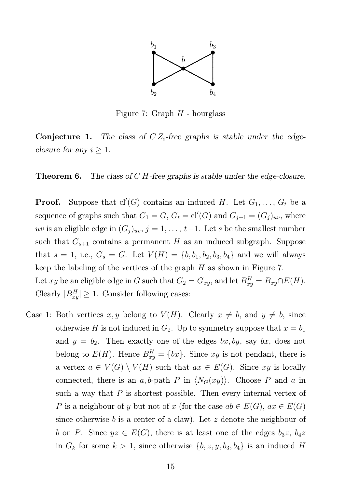

Figure 7: Graph  $H$  - hourglass

**Conjecture 1.** The class of  $CZ_i$ -free graphs is stable under the edgeclosure for any  $i \geq 1$ .

**Theorem 6.** The class of  $C$  *H*-free graphs is stable under the edge-closure.

**Proof.** Suppose that  $cl'(G)$  contains an induced H. Let  $G_1, \ldots, G_t$  be a sequence of graphs such that  $G_1 = G$ ,  $G_t = \text{cl}'(G)$  and  $G_{j+1} = (G_j)_{uv}$ , where uv is an eligible edge in  $(G_j)_{uv}$ ,  $j = 1, \ldots, t-1$ . Let s be the smallest number such that  $G_{s+1}$  contains a permanent H as an induced subgraph. Suppose that  $s = 1$ , i.e.,  $G_s = G$ . Let  $V(H) = \{b, b_1, b_2, b_3, b_4\}$  and we will always keep the labeling of the vertices of the graph  $H$  as shown in Figure 7. Let xy be an eligible edge in G such that  $G_2 = G_{xy}$ , and let  $B_{xy}^H = B_{xy} \cap E(H)$ . Clearly  $|B_{xy}^H| \ge 1$ . Consider following cases:

Case 1: Both vertices  $x, y$  belong to  $V(H)$ . Clearly  $x \neq b$ , and  $y \neq b$ , since otherwise H is not induced in  $G_2$ . Up to symmetry suppose that  $x = b_1$ and  $y = b_2$ . Then exactly one of the edges bx, by, say bx, does not belong to  $E(H)$ . Hence  $B_{xy}^H = \{bx\}$ . Since  $xy$  is not pendant, there is a vertex  $a \in V(G) \setminus V(H)$  such that  $ax \in E(G)$ . Since xy is locally connected, there is an a, b-path P in  $\langle N_G(xy)\rangle$ . Choose P and a in such a way that  $P$  is shortest possible. Then every internal vertex of P is a neighbour of y but not of x (for the case  $ab \in E(G)$ ,  $ax \in E(G)$ ) since otherwise b is a center of a claw). Let z denote the neighbour of b on P. Since  $yz \in E(G)$ , there is at least one of the edges  $b_3z, b_4z$ in  $G_k$  for some  $k > 1$ , since otherwise  $\{b, z, y, b_3, b_4\}$  is an induced H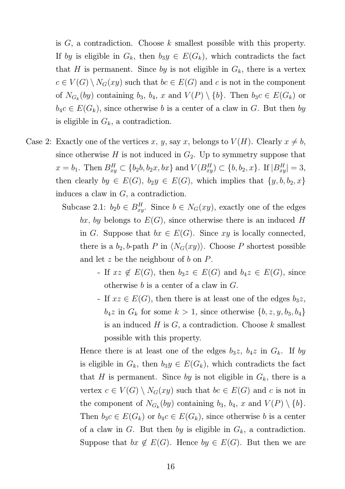is  $G$ , a contradiction. Choose  $k$  smallest possible with this property. If by is eligible in  $G_k$ , then  $b_3y \in E(G_k)$ , which contradicts the fact that H is permanent. Since by is not eligible in  $G_k$ , there is a vertex  $c \in V(G) \setminus N_G(xy)$  such that  $bc \in E(G)$  and c is not in the component of  $N_{G_k}(by)$  containing  $b_3$ ,  $b_4$ , x and  $V(P) \setminus \{b\}$ . Then  $b_3c \in E(G_k)$  or  $b_4c \in E(G_k)$ , since otherwise b is a center of a claw in G. But then by is eligible in  $G_k$ , a contradiction.

- Case 2: Exactly one of the vertices x, y, say x, belongs to  $V(H)$ . Clearly  $x \neq b$ , since otherwise  $H$  is not induced in  $G_2$ . Up to symmetry suppose that  $x = b_1$ . Then  $B_{xy}^H \subset \{b_2b, b_2x, bx\}$  and  $V(B_{xy}^H) \subset \{b, b_2, x\}$ . If  $|B_{xy}^H| = 3$ , then clearly  $by \in E(G)$ ,  $b_2y \in E(G)$ , which implies that  $\{y, b, b_2, x\}$ induces a claw in G, a contradiction.
	- Subcase 2.1:  $b_2b \in B_{xy}^H$ . Since  $b \in N_G(xy)$ , exactly one of the edges bx, by belongs to  $E(G)$ , since otherwise there is an induced H in G. Suppose that  $bx \in E(G)$ . Since xy is locally connected, there is a  $b_2$ , b-path P in  $\langle N_G(xy) \rangle$ . Choose P shortest possible and let z be the neighbour of b on  $P$ .
		- If  $xz \notin E(G)$ , then  $b_3z \in E(G)$  and  $b_4z \in E(G)$ , since otherwise b is a center of a claw in G.
		- If  $xz \in E(G)$ , then there is at least one of the edges  $b_3z$ ,  $b_4z$  in  $G_k$  for some  $k > 1$ , since otherwise  $\{b, z, y, b_3, b_4\}$ is an induced  $H$  is  $G$ , a contradiction. Choose  $k$  smallest possible with this property.

Hence there is at least one of the edges  $b_3z$ ,  $b_4z$  in  $G_k$ . If by is eligible in  $G_k$ , then  $b_3y \in E(G_k)$ , which contradicts the fact that H is permanent. Since by is not eligible in  $G_k$ , there is a vertex  $c \in V(G) \setminus N_G(xy)$  such that  $bc \in E(G)$  and c is not in the component of  $N_{G_k}(by)$  containing  $b_3$ ,  $b_4$ , x and  $V(P) \setminus \{b\}$ . Then  $b_3c \in E(G_k)$  or  $b_4c \in E(G_k)$ , since otherwise b is a center of a claw in G. But then by is eligible in  $G_k$ , a contradiction. Suppose that  $bx \notin E(G)$ . Hence  $by \in E(G)$ . But then we are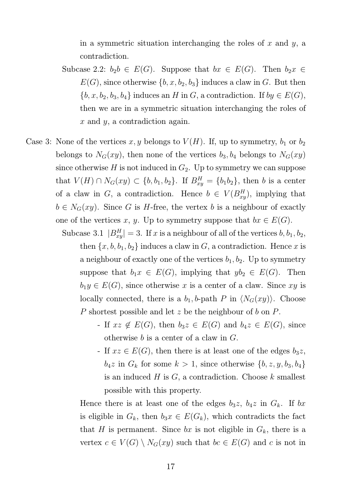in a symmetric situation interchanging the roles of  $x$  and  $y$ , a contradiction.

- Subcase 2.2:  $b_2b \in E(G)$ . Suppose that  $bx \in E(G)$ . Then  $b_2x \in$  $E(G)$ , since otherwise  $\{b, x, b_2, b_3\}$  induces a claw in G. But then  ${b, x, b_2, b_3, b_4}$  induces an H in G, a contradiction. If  $by \in E(G)$ , then we are in a symmetric situation interchanging the roles of x and y, a contradiction again.
- Case 3: None of the vertices x, y belongs to  $V(H)$ . If, up to symmetry,  $b_1$  or  $b_2$ belongs to  $N_G(xy)$ , then none of the vertices  $b_3, b_4$  belongs to  $N_G(xy)$ since otherwise H is not induced in  $G_2$ . Up to symmetry we can suppose that  $V(H) \cap N_G(xy) \subset \{b, b_1, b_2\}$ . If  $B_{xy}^H = \{b_1b_2\}$ , then b is a center of a claw in G, a contradiction. Hence  $b \in V(B_{xy}^H)$ , implying that  $b \in N_G(xy)$ . Since G is H-free, the vertex b is a neighbour of exactly one of the vertices x, y. Up to symmetry suppose that  $bx \in E(G)$ .
	- Subcase 3.1  $|B_{xy}^H| = 3$ . If x is a neighbour of all of the vertices  $b, b_1, b_2,$ then  $\{x, b, b_1, b_2\}$  induces a claw in G, a contradiction. Hence x is a neighbour of exactly one of the vertices  $b_1, b_2$ . Up to symmetry suppose that  $b_1x \in E(G)$ , implying that  $yb_2 \in E(G)$ . Then  $b_1y \in E(G)$ , since otherwise x is a center of a claw. Since xy is locally connected, there is a  $b_1$ , b-path P in  $\langle N_G(xy) \rangle$ . Choose P shortest possible and let z be the neighbour of b on P.
		- If  $xz \notin E(G)$ , then  $b_3z \in E(G)$  and  $b_4z \in E(G)$ , since otherwise b is a center of a claw in G.
		- If  $xz \in E(G)$ , then there is at least one of the edges  $b_3z$ ,  $b_4z$  in  $G_k$  for some  $k > 1$ , since otherwise  $\{b, z, y, b_3, b_4\}$ is an induced  $H$  is  $G$ , a contradiction. Choose  $k$  smallest possible with this property.

Hence there is at least one of the edges  $b_3z$ ,  $b_4z$  in  $G_k$ . If bx is eligible in  $G_k$ , then  $b_3x \in E(G_k)$ , which contradicts the fact that H is permanent. Since bx is not eligible in  $G_k$ , there is a vertex  $c \in V(G) \setminus N_G(xy)$  such that  $bc \in E(G)$  and c is not in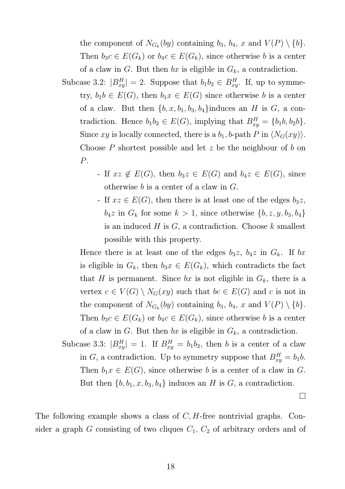the component of  $N_{G_k}(by)$  containing  $b_3$ ,  $b_4$ , x and  $V(P) \setminus \{b\}$ . Then  $b_3c \in E(G_k)$  or  $b_4c \in E(G_k)$ , since otherwise b is a center of a claw in G. But then bx is eligible in  $G_k$ , a contradiction.

Subcase 3.2:  $|B_{xy}^H| = 2$ . Suppose that  $b_1 b_2 \in B_{xy}^H$ . If, up to symmetry,  $b_1b \in E(G)$ , then  $b_1x \in E(G)$  since otherwise b is a center of a claw. But then  $\{b, x, b_1, b_3, b_4\}$ induces an H is G, a contradiction. Hence  $b_1b_2 \in E(G)$ , implying that  $B_{xy}^H = \{b_1b, b_2b\}.$ Since xy is locally connected, there is a  $b_1$ , b-path P in  $\langle N_G(xy)\rangle$ . Choose  $P$  shortest possible and let  $z$  be the neighbour of  $b$  on P.

> - If  $xz \notin E(G)$ , then  $b_3z \in E(G)$  and  $b_4z \in E(G)$ , since otherwise b is a center of a claw in G.

> - If  $xz \in E(G)$ , then there is at least one of the edges  $b_3z$ ,  $b_4z$  in  $G_k$  for some  $k > 1$ , since otherwise  $\{b, z, y, b_3, b_4\}$ is an induced  $H$  is  $G$ , a contradiction. Choose  $k$  smallest possible with this property.

Hence there is at least one of the edges  $b_3z$ ,  $b_4z$  in  $G_k$ . If bx is eligible in  $G_k$ , then  $b_3x \in E(G_k)$ , which contradicts the fact that H is permanent. Since bx is not eligible in  $G_k$ , there is a vertex  $c \in V(G) \setminus N_G(xy)$  such that  $bc \in E(G)$  and c is not in the component of  $N_{G_k}(by)$  containing  $b_3$ ,  $b_4$ , x and  $V(P) \setminus \{b\}$ . Then  $b_3c \in E(G_k)$  or  $b_4c \in E(G_k)$ , since otherwise b is a center of a claw in G. But then bx is eligible in  $G_k$ , a contradiction.

Subcase 3.3:  $|B_{xy}^H| = 1$ . If  $B_{xy}^H = b_1b_2$ , then b is a center of a claw in G, a contradiction. Up to symmetry suppose that  $B_{xy}^H = b_1 b$ . Then  $b_1x \in E(G)$ , since otherwise b is a center of a claw in G. But then  $\{b, b_1, x, b_3, b_4\}$  induces an H is G, a contradiction.

 $\Box$ 

The following example shows a class of  $C, H$ -free nontrivial graphs. Consider a graph G consisting of two cliques  $C_1$ ,  $C_2$  of arbitrary orders and of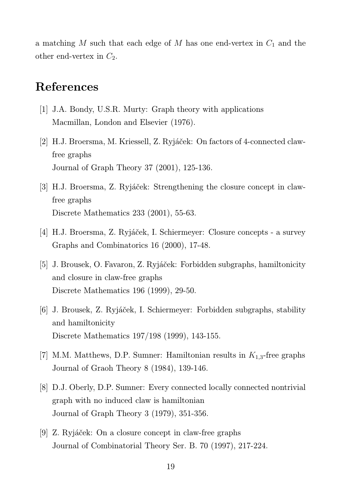a matching  $M$  such that each edge of  $M$  has one end-vertex in  $C_1$  and the other end-vertex in  $C_2$ .

### References

- [1] J.A. Bondy, U.S.R. Murty: Graph theory with applications Macmillan, London and Elsevier (1976).
- [2] H.J. Broersma, M. Kriessell, Z. Ryjáček: On factors of 4-connected clawfree graphs Journal of Graph Theory 37 (2001), 125-136.
- [3] H.J. Broersma, Z. Ryjáček: Strengthening the closure concept in clawfree graphs Discrete Mathematics 233 (2001), 55-63.
- [4] H.J. Broersma, Z. Ryjáček, I. Schiermeyer: Closure concepts a survey Graphs and Combinatorics 16 (2000), 17-48.
- [5] J. Brousek, O. Favaron, Z. Ryjáček: Forbidden subgraphs, hamiltonicity and closure in claw-free graphs Discrete Mathematics 196 (1999), 29-50.
- [6] J. Brousek, Z. Ryjáček, I. Schiermeyer: Forbidden subgraphs, stability and hamiltonicity Discrete Mathematics 197/198 (1999), 143-155.
- [7] M.M. Matthews, D.P. Sumner: Hamiltonian results in  $K_{1,3}$ -free graphs Journal of Graoh Theory 8 (1984), 139-146.
- [8] D.J. Oberly, D.P. Sumner: Every connected locally connected nontrivial graph with no induced claw is hamiltonian Journal of Graph Theory 3 (1979), 351-356.
- [9] Z. Ryjáček: On a closure concept in claw-free graphs Journal of Combinatorial Theory Ser. B. 70 (1997), 217-224.